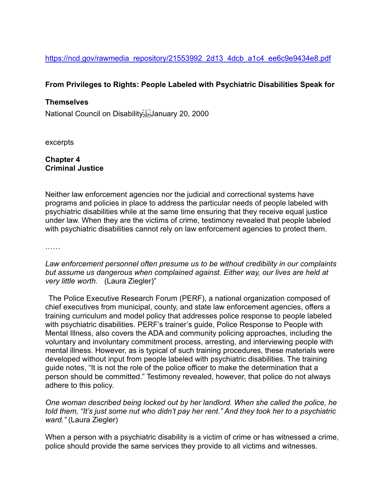# **From Privileges to Rights: People Labeled with Psychiatric Disabilities Speak for**

## **Themselves**

National Council on Disability January 20, 2000

excerpts

### **Chapter 4 Criminal Justice**

Neither law enforcement agencies nor the judicial and correctional systems have programs and policies in place to address the particular needs of people labeled with psychiatric disabilities while at the same time ensuring that they receive equal justice under law. When they are the victims of crime, testimony revealed that people labeled with psychiatric disabilities cannot rely on law enforcement agencies to protect them.

……

### *Law enforcement personnel often presume us to be without credibility in our complaints but assume us dangerous when complained against. Either way, our lives are held at very little worth.* (Laura Ziegler)"

The Police Executive Research Forum (PERF), a national organization composed of chief executives from municipal, county, and state law enforcement agencies, offers a training curriculum and model policy that addresses police response to people labeled with psychiatric disabilities. PERF's trainer's guide, Police Response to People with Mental Illness, also covers the ADA and community policing approaches, including the voluntary and involuntary commitment process, arresting, and interviewing people with mental illness. However, as is typical of such training procedures, these materials were developed without input from people labeled with psychiatric disabilities. The training guide notes, "It is not the role of the police officer to make the determination that a person should be committed." Testimony revealed, however, that police do not always adhere to this policy.

*One woman described being locked out by her landlord. When she called the police, he told them, "It's just some nut who didn't pay her rent." And they took her to a psychiatric ward."* (Laura Ziegler)

When a person with a psychiatric disability is a victim of crime or has witnessed a crime, police should provide the same services they provide to all victims and witnesses.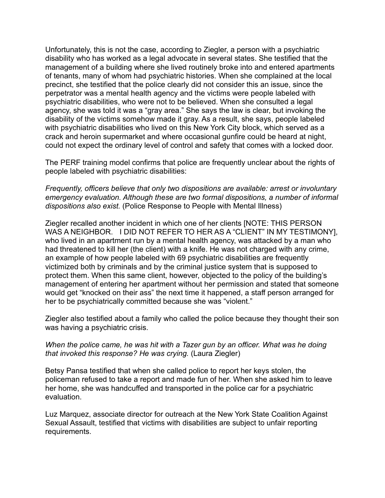Unfortunately, this is not the case, according to Ziegler, a person with a psychiatric disability who has worked as a legal advocate in several states. She testified that the management of a building where she lived routinely broke into and entered apartments of tenants, many of whom had psychiatric histories. When she complained at the local precinct, she testified that the police clearly did not consider this an issue, since the perpetrator was a mental health agency and the victims were people labeled with psychiatric disabilities, who were not to be believed. When she consulted a legal agency, she was told it was a "gray area." She says the law is clear, but invoking the disability of the victims somehow made it gray. As a result, she says, people labeled with psychiatric disabilities who lived on this New York City block, which served as a crack and heroin supermarket and where occasional gunfire could be heard at night, could not expect the ordinary level of control and safety that comes with a locked door.

The PERF training model confirms that police are frequently unclear about the rights of people labeled with psychiatric disabilities:

*Frequently, officers believe that only two dispositions are available: arrest or involuntary emergency evaluation. Although these are two formal dispositions, a number of informal dispositions also exist.* (Police Response to People with Mental Illness)

Ziegler recalled another incident in which one of her clients [NOTE: THIS PERSON WAS A NEIGHBOR. I DID NOT REFER TO HER AS A "CLIENT" IN MY TESTIMONY], who lived in an apartment run by a mental health agency, was attacked by a man who had threatened to kill her (the client) with a knife. He was not charged with any crime, an example of how people labeled with 69 psychiatric disabilities are frequently victimized both by criminals and by the criminal justice system that is supposed to protect them. When this same client, however, objected to the policy of the building's management of entering her apartment without her permission and stated that someone would get "knocked on their ass" the next time it happened, a staff person arranged for her to be psychiatrically committed because she was "violent."

Ziegler also testified about a family who called the police because they thought their son was having a psychiatric crisis.

### *When the police came, he was hit with a Tazer gun by an officer. What was he doing that invoked this response? He was crying.* (Laura Ziegler)

Betsy Pansa testified that when she called police to report her keys stolen, the policeman refused to take a report and made fun of her. When she asked him to leave her home, she was handcuffed and transported in the police car for a psychiatric evaluation.

Luz Marquez, associate director for outreach at the New York State Coalition Against Sexual Assault, testified that victims with disabilities are subject to unfair reporting requirements.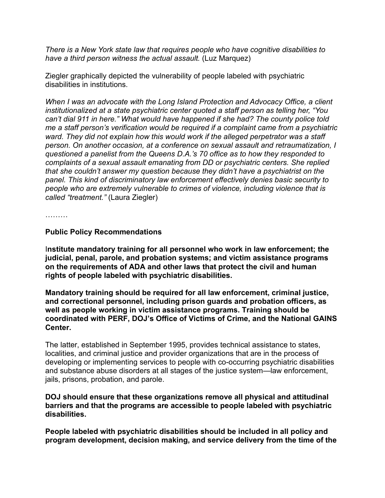*There is a New York state law that requires people who have cognitive disabilities to have a third person witness the actual assault.* (Luz Marquez)

Ziegler graphically depicted the vulnerability of people labeled with psychiatric disabilities in institutions.

*When I was an advocate with the Long Island Protection and Advocacy Office, a client institutionalized at a state psychiatric center quoted a staff person as telling her, "You can't dial 911 in here." What would have happened if she had? The county police told me a staff person's verification would be required if a complaint came from a psychiatric ward. They did not explain how this would work if the alleged perpetrator was a staff person. On another occasion, at a conference on sexual assault and retraumatization, I questioned a panelist from the Queens D.A.'s 70 office as to how they responded to complaints of a sexual assault emanating from DD or psychiatric centers. She replied that she couldn't answer my question because they didn't have a psychiatrist on the panel. This kind of discriminatory law enforcement effectively denies basic security to people who are extremely vulnerable to crimes of violence, including violence that is called "treatment."* (Laura Ziegler)

. . . . . . . . .

### **Public Policy Recommendations**

I**nstitute mandatory training for all personnel who work in law enforcement; the judicial, penal, parole, and probation systems; and victim assistance programs on the requirements of ADA and other laws that protect the civil and human rights of people labeled with psychiatric disabilities.** 

**Mandatory training should be required for all law enforcement, criminal justice, and correctional personnel, including prison guards and probation officers, as well as people working in victim assistance programs. Training should be coordinated with PERF, DOJ's Office of Victims of Crime, and the National GAINS Center.** 

The latter, established in September 1995, provides technical assistance to states, localities, and criminal justice and provider organizations that are in the process of developing or implementing services to people with co-occurring psychiatric disabilities and substance abuse disorders at all stages of the justice system—law enforcement, jails, prisons, probation, and parole.

### **DOJ should ensure that these organizations remove all physical and attitudinal barriers and that the programs are accessible to people labeled with psychiatric disabilities.**

**People labeled with psychiatric disabilities should be included in all policy and program development, decision making, and service delivery from the time of the**